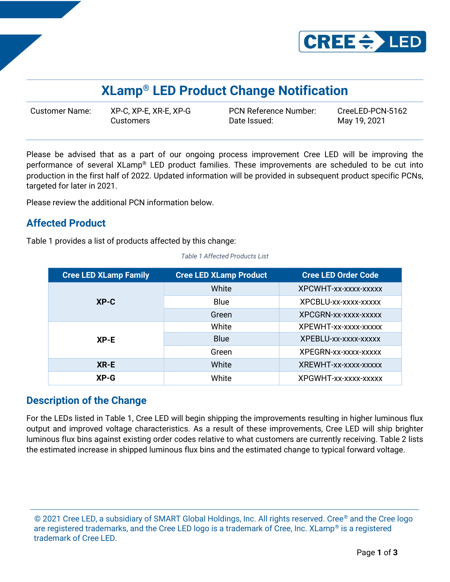

# **XLamp® LED Product Change Notification**

Customer Name: XP-C, XP-E, XR-E, XP-G PCN Reference Number: CreeLED-PCN-5162 Customers Date Issued: May 19, 2021

Please be advised that as a part of our ongoing process improvement Cree LED will be improving the performance of several XLamp® LED product families. These improvements are scheduled to be cut into production in the first half of 2022. Updated information will be provided in subsequent product specific PCNs, targeted for later in 2021.

Please review the additional PCN information below.

# **Affected Product**

Table 1 provides a list of products affected by this change:

| <b>Cree LED XLamp Family</b> | <b>Cree LED XLamp Product</b> | <b>Cree LED Order Code</b> |
|------------------------------|-------------------------------|----------------------------|
| $XP-C$                       | White                         | XPCWHT-xx-xxxx-xxxxx       |
|                              | <b>Blue</b>                   | XPCBLU-xx-xxxx-xxxxx       |
|                              | Green                         | XPCGRN-xx-xxxx-xxxxx       |
| $XP-E$                       | White                         | XPEWHT-xx-xxxx-xxxxx       |
|                              | <b>Blue</b>                   | XPEBLU-xx-xxxx-xxxxx       |
|                              | Green                         | XPEGRN-xx-xxxx-xxxxx       |
| XR-E                         | White                         | XREWHT-xx-xxxx-xxxxx       |
| $XP-G$                       | White                         | XPGWHT-xx-xxxx-xxxxx       |

*Table 1 Affected Products List*

### **Description of the Change**

For the LEDs listed in Table 1, Cree LED will begin shipping the improvements resulting in higher luminous flux output and improved voltage characteristics. As a result of these improvements, Cree LED will ship brighter luminous flux bins against existing order codes relative to what customers are currently receiving. Table 2 lists the estimated increase in shipped luminous flux bins and the estimated change to typical forward voltage.

<sup>© 2021</sup> Cree LED, a subsidiary of SMART Global Holdings, Inc. All rights reserved. Cree® and the Cree logo are registered trademarks, and the Cree LED logo is a trademark of Cree, Inc. XLamp<sup>®</sup> is a registered trademark of Cree LED.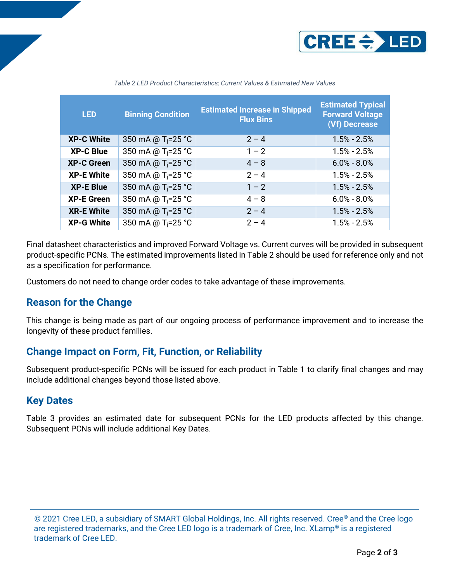

| <b>LED</b>        | <b>Binning Condition</b>       | <b>Estimated Increase in Shipped</b><br><b>Flux Bins</b> | <b>Estimated Typical</b><br><b>Forward Voltage</b><br>(Vf) Decrease |
|-------------------|--------------------------------|----------------------------------------------------------|---------------------------------------------------------------------|
| <b>XP-C White</b> | 350 mA @ T <sub>i</sub> =25 °C | $2 - 4$                                                  | $1.5% - 2.5%$                                                       |
| <b>XP-C Blue</b>  | 350 mA @ T <sub>i</sub> =25 °C | $1 - 2$                                                  | $1.5% - 2.5%$                                                       |
| <b>XP-C Green</b> | 350 mA @ T <sub>i</sub> =25 °C | $4 - 8$                                                  | $6.0\% - 8.0\%$                                                     |
| <b>XP-E White</b> | 350 mA @ T <sub>i</sub> =25 °C | $2 - 4$                                                  | $1.5% - 2.5%$                                                       |
| <b>XP-E Blue</b>  | 350 mA @ T <sub>i</sub> =25 °C | $1 - 2$                                                  | $1.5% - 2.5%$                                                       |
| <b>XP-E Green</b> | 350 mA @ T <sub>i</sub> =25 °C | $4 - 8$                                                  | $6.0\% - 8.0\%$                                                     |
| <b>XR-E White</b> | 350 mA @ T <sub>i</sub> =25 °C | $2 - 4$                                                  | $1.5% - 2.5%$                                                       |
| <b>XP-G White</b> | 350 mA @ T <sub>i</sub> =25 °C | $2 - 4$                                                  | $1.5% - 2.5%$                                                       |

*Table 2 LED Product Characteristics; Current Values & Estimated New Values*

Final datasheet characteristics and improved Forward Voltage vs. Current curves will be provided in subsequent product-specific PCNs. The estimated improvements listed in Table 2 should be used for reference only and not as a specification for performance.

Customers do not need to change order codes to take advantage of these improvements.

### **Reason for the Change**

This change is being made as part of our ongoing process of performance improvement and to increase the longevity of these product families.

### **Change Impact on Form, Fit, Function, or Reliability**

Subsequent product-specific PCNs will be issued for each product in Table 1 to clarify final changes and may include additional changes beyond those listed above.

### **Key Dates**

Table 3 provides an estimated date for subsequent PCNs for the LED products affected by this change. Subsequent PCNs will include additional Key Dates.

© 2021 Cree LED, a subsidiary of SMART Global Holdings, Inc. All rights reserved. Cree® and the Cree logo are registered trademarks, and the Cree LED logo is a trademark of Cree, Inc. XLamp<sup>®</sup> is a registered trademark of Cree LED.